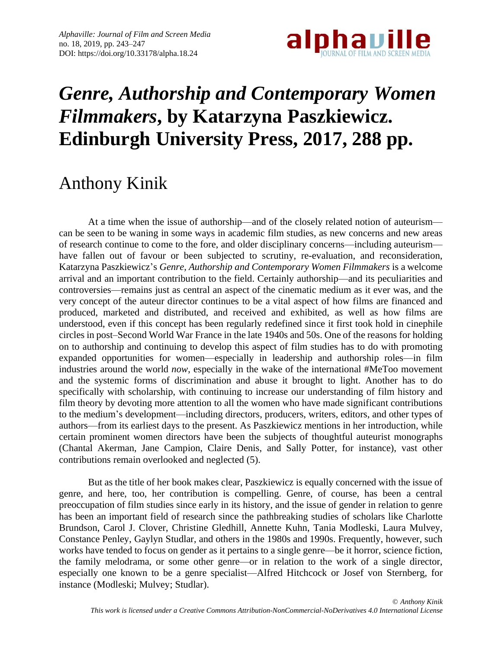

## *Genre, Authorship and Contemporary Women Filmmakers***, by Katarzyna Paszkiewicz. Edinburgh University Press, 2017, 288 pp.**

## Anthony Kinik

At a time when the issue of authorship—and of the closely related notion of auteurism can be seen to be waning in some ways in academic film studies, as new concerns and new areas of research continue to come to the fore, and older disciplinary concerns—including auteurism have fallen out of favour or been subjected to scrutiny, re-evaluation, and reconsideration, Katarzyna Paszkiewicz's *Genre, Authorship and Contemporary Women Filmmakers* is a welcome arrival and an important contribution to the field. Certainly authorship—and its peculiarities and controversies—remains just as central an aspect of the cinematic medium as it ever was, and the very concept of the auteur director continues to be a vital aspect of how films are financed and produced, marketed and distributed, and received and exhibited, as well as how films are understood, even if this concept has been regularly redefined since it first took hold in cinephile circles in post–Second World War France in the late 1940s and 50s. One of the reasons for holding on to authorship and continuing to develop this aspect of film studies has to do with promoting expanded opportunities for women—especially in leadership and authorship roles—in film industries around the world *now*, especially in the wake of the international #MeToo movement and the systemic forms of discrimination and abuse it brought to light. Another has to do specifically with scholarship, with continuing to increase our understanding of film history and film theory by devoting more attention to all the women who have made significant contributions to the medium's development—including directors, producers, writers, editors, and other types of authors—from its earliest days to the present. As Paszkiewicz mentions in her introduction, while certain prominent women directors have been the subjects of thoughtful auteurist monographs (Chantal Akerman, Jane Campion, Claire Denis, and Sally Potter, for instance), vast other contributions remain overlooked and neglected (5).

But as the title of her book makes clear, Paszkiewicz is equally concerned with the issue of genre, and here, too, her contribution is compelling. Genre, of course, has been a central preoccupation of film studies since early in its history, and the issue of gender in relation to genre has been an important field of research since the pathbreaking studies of scholars like Charlotte Brundson, Carol J. Clover, Christine Gledhill, Annette Kuhn, Tania Modleski, Laura Mulvey, Constance Penley, Gaylyn Studlar, and others in the 1980s and 1990s. Frequently, however, such works have tended to focus on gender as it pertains to a single genre—be it horror, science fiction, the family melodrama, or some other genre—or in relation to the work of a single director, especially one known to be a genre specialist—Alfred Hitchcock or Josef von Sternberg, for instance (Modleski; Mulvey; Studlar).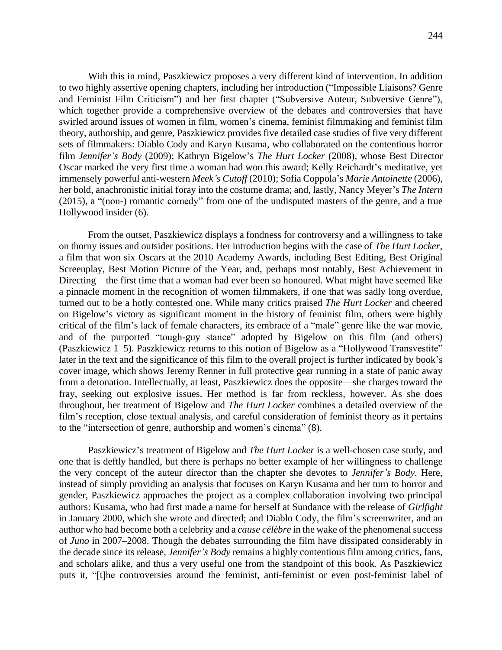With this in mind, Paszkiewicz proposes a very different kind of intervention. In addition to two highly assertive opening chapters, including her introduction ("Impossible Liaisons? Genre and Feminist Film Criticism") and her first chapter ("Subversive Auteur, Subversive Genre"), which together provide a comprehensive overview of the debates and controversies that have swirled around issues of women in film, women's cinema, feminist filmmaking and feminist film theory, authorship, and genre, Paszkiewicz provides five detailed case studies of five very different sets of filmmakers: Diablo Cody and Karyn Kusama, who collaborated on the contentious horror film *Jennifer's Body* (2009); Kathryn Bigelow's *The Hurt Locker* (2008), whose Best Director Oscar marked the very first time a woman had won this award; Kelly Reichardt's meditative, yet immensely powerful anti-western *Meek's Cutoff* (2010); Sofia Coppola's *Marie Antoinette* (2006), her bold, anachronistic initial foray into the costume drama; and, lastly, Nancy Meyer's *The Intern* (2015), a "(non-) romantic comedy" from one of the undisputed masters of the genre, and a true Hollywood insider (6).

From the outset, Paszkiewicz displays a fondness for controversy and a willingness to take on thorny issues and outsider positions. Her introduction begins with the case of *The Hurt Locker*, a film that won six Oscars at the 2010 Academy Awards, including Best Editing, Best Original Screenplay, Best Motion Picture of the Year, and, perhaps most notably, Best Achievement in Directing—the first time that a woman had ever been so honoured. What might have seemed like a pinnacle moment in the recognition of women filmmakers, if one that was sadly long overdue, turned out to be a hotly contested one. While many critics praised *The Hurt Locker* and cheered on Bigelow's victory as significant moment in the history of feminist film, others were highly critical of the film's lack of female characters, its embrace of a "male" genre like the war movie, and of the purported "tough-guy stance" adopted by Bigelow on this film (and others) (Paszkiewicz 1–5). Paszkiewicz returns to this notion of Bigelow as a "Hollywood Transvestite" later in the text and the significance of this film to the overall project is further indicated by book's cover image, which shows Jeremy Renner in full protective gear running in a state of panic away from a detonation. Intellectually, at least, Paszkiewicz does the opposite—she charges toward the fray, seeking out explosive issues. Her method is far from reckless, however. As she does throughout, her treatment of Bigelow and *The Hurt Locker* combines a detailed overview of the film's reception, close textual analysis, and careful consideration of feminist theory as it pertains to the "intersection of genre, authorship and women's cinema" (8).

Paszkiewicz's treatment of Bigelow and *The Hurt Locker* is a well-chosen case study, and one that is deftly handled, but there is perhaps no better example of her willingness to challenge the very concept of the auteur director than the chapter she devotes to *Jennifer's Body*. Here, instead of simply providing an analysis that focuses on Karyn Kusama and her turn to horror and gender, Paszkiewicz approaches the project as a complex collaboration involving two principal authors: Kusama, who had first made a name for herself at Sundance with the release of *Girlfight* in January 2000, which she wrote and directed; and Diablo Cody, the film's screenwriter, and an author who had become both a celebrity and a *cause célèbre* in the wake of the phenomenal success of *Juno* in 2007–2008. Though the debates surrounding the film have dissipated considerably in the decade since its release, *Jennifer's Body* remains a highly contentious film among critics, fans, and scholars alike, and thus a very useful one from the standpoint of this book. As Paszkiewicz puts it, "[t]he controversies around the feminist, anti-feminist or even post-feminist label of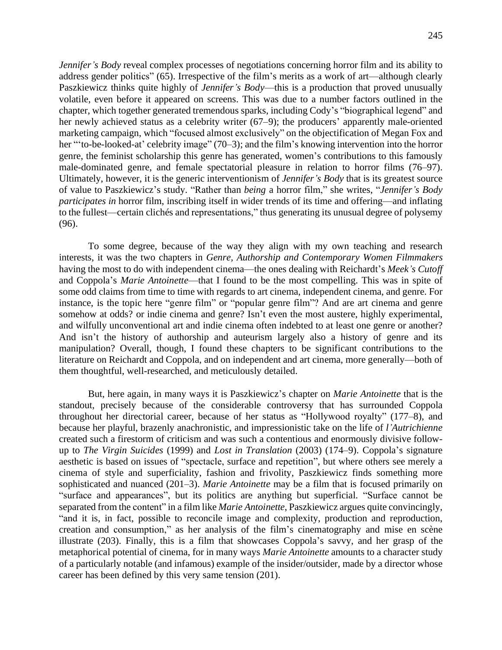*Jennifer's Body* reveal complex processes of negotiations concerning horror film and its ability to address gender politics" (65). Irrespective of the film's merits as a work of art—although clearly Paszkiewicz thinks quite highly of *Jennifer's Body*—this is a production that proved unusually volatile, even before it appeared on screens. This was due to a number factors outlined in the chapter, which together generated tremendous sparks, including Cody's "biographical legend" and her newly achieved status as a celebrity writer (67–9); the producers' apparently male-oriented marketing campaign, which "focused almost exclusively" on the objectification of Megan Fox and her "to-be-looked-at' celebrity image" (70–3); and the film's knowing intervention into the horror genre, the feminist scholarship this genre has generated, women's contributions to this famously male-dominated genre, and female spectatorial pleasure in relation to horror films (76–97). Ultimately, however, it is the generic interventionism of *Jennifer's Body* that is its greatest source of value to Paszkiewicz's study. "Rather than *being* a horror film," she writes, "*Jennifer's Body participates in* horror film, inscribing itself in wider trends of its time and offering—and inflating to the fullest—certain clichés and representations," thus generating its unusual degree of polysemy (96).

To some degree, because of the way they align with my own teaching and research interests, it was the two chapters in *Genre, Authorship and Contemporary Women Filmmakers* having the most to do with independent cinema—the ones dealing with Reichardt's *Meek's Cutoff* and Coppola's *Marie Antoinette*—that I found to be the most compelling. This was in spite of some odd claims from time to time with regards to art cinema, independent cinema, and genre. For instance, is the topic here "genre film" or "popular genre film"? And are art cinema and genre somehow at odds? or indie cinema and genre? Isn't even the most austere, highly experimental, and wilfully unconventional art and indie cinema often indebted to at least one genre or another? And isn't the history of authorship and auteurism largely also a history of genre and its manipulation? Overall, though, I found these chapters to be significant contributions to the literature on Reichardt and Coppola, and on independent and art cinema, more generally—both of them thoughtful, well-researched, and meticulously detailed.

But, here again, in many ways it is Paszkiewicz's chapter on *Marie Antoinette* that is the standout, precisely because of the considerable controversy that has surrounded Coppola throughout her directorial career, because of her status as "Hollywood royalty" (177–8), and because her playful, brazenly anachronistic, and impressionistic take on the life of *l'Autrichienne* created such a firestorm of criticism and was such a contentious and enormously divisive followup to *The Virgin Suicides* (1999) and *Lost in Translation* (2003) (174–9). Coppola's signature aesthetic is based on issues of "spectacle, surface and repetition", but where others see merely a cinema of style and superficiality, fashion and frivolity, Paszkiewicz finds something more sophisticated and nuanced (201–3). *Marie Antoinette* may be a film that is focused primarily on "surface and appearances", but its politics are anything but superficial. "Surface cannot be separated from the content" in a film like *Marie Antoinette*, Paszkiewicz argues quite convincingly, "and it is, in fact, possible to reconcile image and complexity, production and reproduction, creation and consumption," as her analysis of the film's cinematography and mise en scène illustrate (203). Finally, this is a film that showcases Coppola's savvy, and her grasp of the metaphorical potential of cinema, for in many ways *Marie Antoinette* amounts to a character study of a particularly notable (and infamous) example of the insider/outsider, made by a director whose career has been defined by this very same tension (201).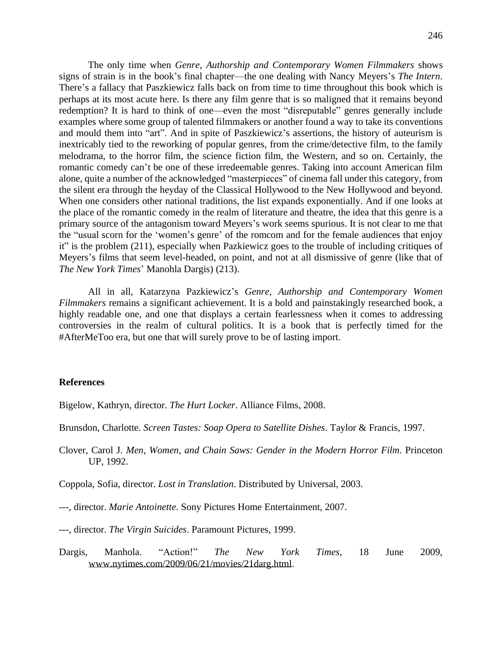The only time when *Genre, Authorship and Contemporary Women Filmmakers* shows signs of strain is in the book's final chapter—the one dealing with Nancy Meyers's *The Intern*. There's a fallacy that Paszkiewicz falls back on from time to time throughout this book which is perhaps at its most acute here. Is there any film genre that is so maligned that it remains beyond redemption? It is hard to think of one—even the most "disreputable" genres generally include examples where some group of talented filmmakers or another found a way to take its conventions and mould them into "art". And in spite of Paszkiewicz's assertions, the history of auteurism is inextricably tied to the reworking of popular genres, from the crime/detective film, to the family melodrama, to the horror film, the science fiction film, the Western, and so on. Certainly, the romantic comedy can't be one of these irredeemable genres. Taking into account American film alone, quite a number of the acknowledged "masterpieces" of cinema fall under this category, from the silent era through the heyday of the Classical Hollywood to the New Hollywood and beyond. When one considers other national traditions, the list expands exponentially. And if one looks at the place of the romantic comedy in the realm of literature and theatre, the idea that this genre is a primary source of the antagonism toward Meyers's work seems spurious. It is not clear to me that the "usual scorn for the 'women's genre' of the romcom and for the female audiences that enjoy it" is the problem (211), especially when Pazkiewicz goes to the trouble of including critiques of Meyers's films that seem level-headed, on point, and not at all dismissive of genre (like that of *The New York Times*' Manohla Dargis) (213).

All in all, Katarzyna Pazkiewicz's *Genre, Authorship and Contemporary Women Filmmakers* remains a significant achievement. It is a bold and painstakingly researched book, a highly readable one, and one that displays a certain fearlessness when it comes to addressing controversies in the realm of cultural politics. It is a book that is perfectly timed for the #AfterMeToo era, but one that will surely prove to be of lasting import.

## **References**

Bigelow, Kathryn, director. *The Hurt Locker*. Alliance Films, 2008.

Brunsdon, Charlotte. *Screen Tastes: Soap Opera to Satellite Dishes*. Taylor & Francis, 1997.

Clover, Carol J. *Men, Women, and Chain Saws: Gender in the Modern Horror Film*. Princeton UP, 1992.

Coppola, Sofia, director. *Lost in Translation*. Distributed by Universal, 2003.

---, director. *Marie Antoinette*. Sony Pictures Home Entertainment, 2007.

---, director. *The Virgin Suicides*. Paramount Pictures, 1999.

Dargis, Manhola. "Action!" *The New York Times*, 18 June 2009, [www.nytimes.com/2009/06/21/movies/21darg.html.](http://www.nytimes.com/2009/06/21/movies/21darg.html)